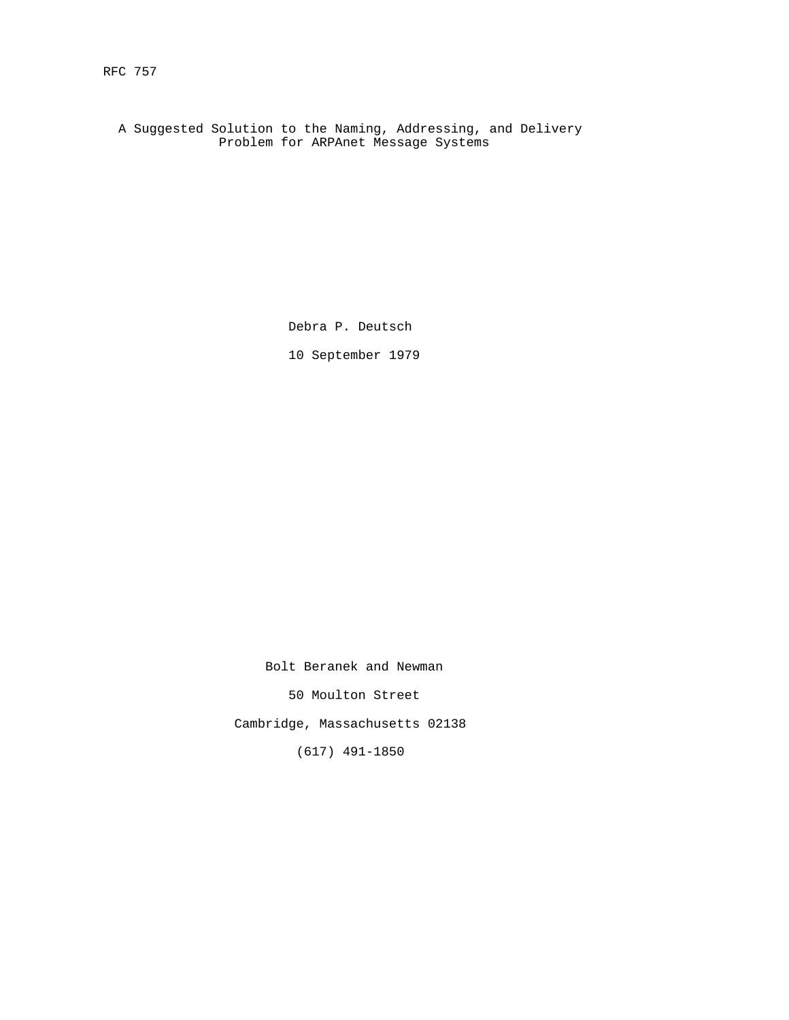A Suggested Solution to the Naming, Addressing, and Delivery Problem for ARPAnet Message Systems

Debra P. Deutsch

10 September 1979

Bolt Beranek and Newman

50 Moulton Street

Cambridge, Massachusetts 02138

(617) 491-1850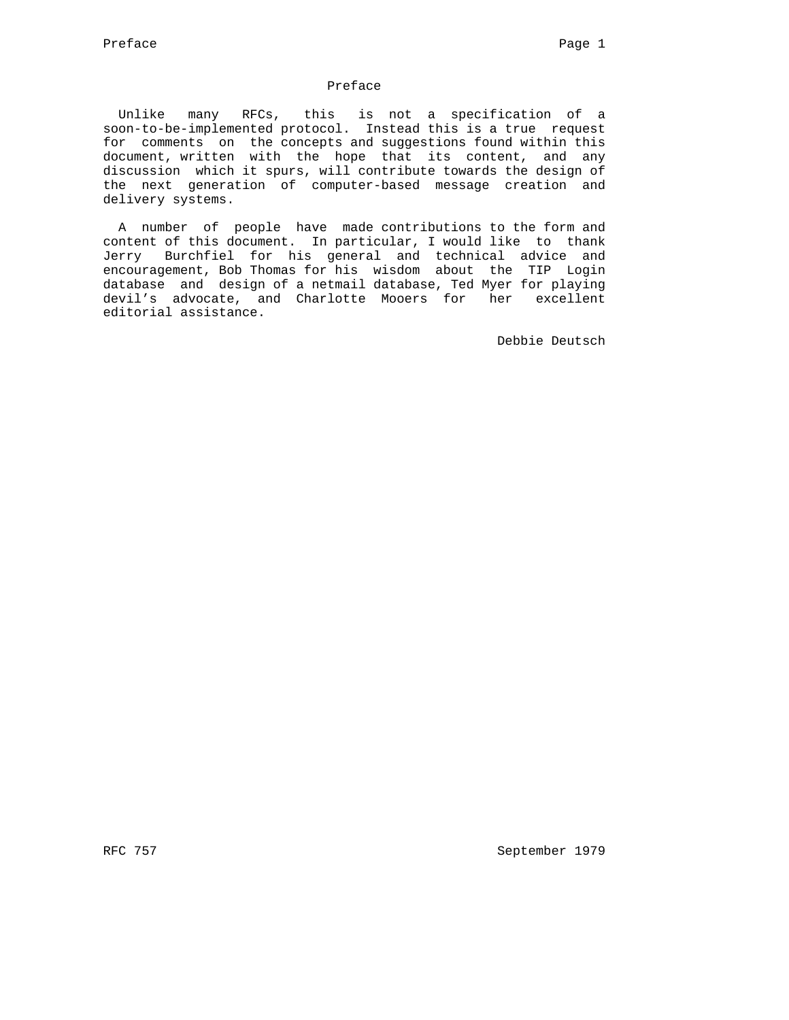# Preface

 Unlike many RFCs, this is not a specification of a soon-to-be-implemented protocol. Instead this is a true request for comments on the concepts and suggestions found within this document, written with the hope that its content, and any discussion which it spurs, will contribute towards the design of the next generation of computer-based message creation and delivery systems.

 A number of people have made contributions to the form and content of this document. In particular, I would like to thank Jerry Burchfiel for his general and technical advice and encouragement, Bob Thomas for his wisdom about the TIP Login database and design of a netmail database, Ted Myer for playing devil's advocate, and Charlotte Mooers for her excellent editorial assistance.

Debbie Deutsch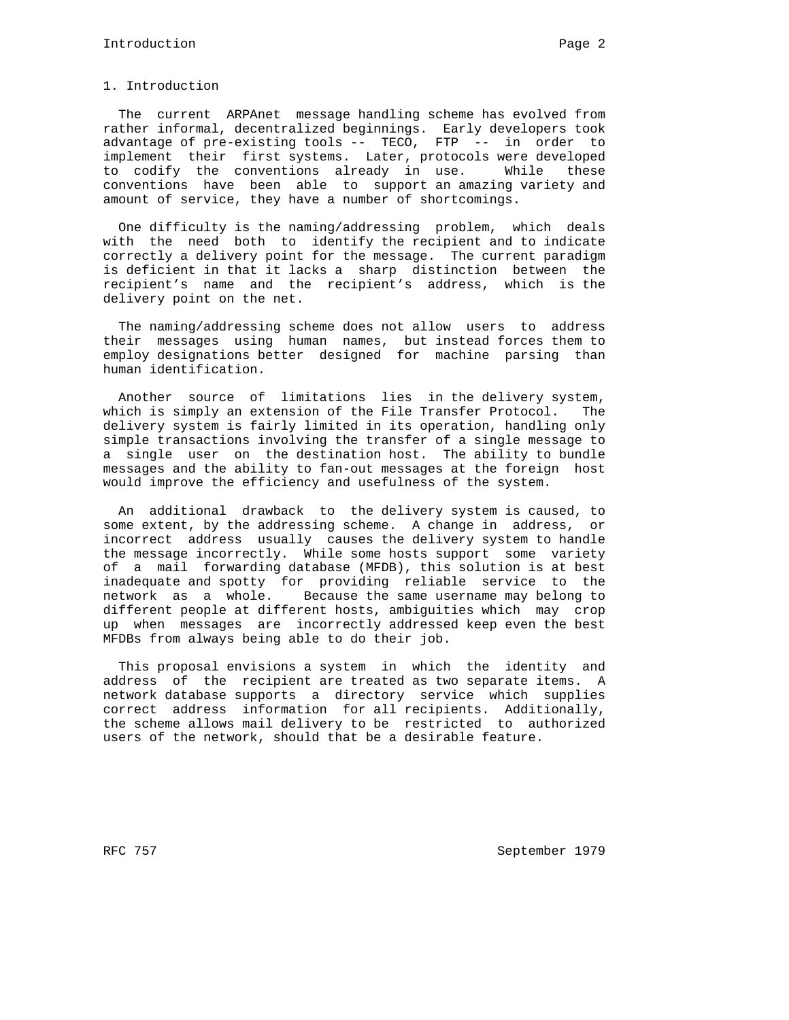### 1. Introduction

 The current ARPAnet message handling scheme has evolved from rather informal, decentralized beginnings. Early developers took advantage of pre-existing tools -- TECO, FTP -- in order to implement their first systems. Later, protocols were developed to codify the conventions already in use. While these conventions have been able to support an amazing variety and amount of service, they have a number of shortcomings.

 One difficulty is the naming/addressing problem, which deals with the need both to identify the recipient and to indicate correctly a delivery point for the message. The current paradigm is deficient in that it lacks a sharp distinction between the recipient's name and the recipient's address, which is the delivery point on the net.

 The naming/addressing scheme does not allow users to address their messages using human names, but instead forces them to employ designations better designed for machine parsing than human identification.

 Another source of limitations lies in the delivery system, which is simply an extension of the File Transfer Protocol. The delivery system is fairly limited in its operation, handling only simple transactions involving the transfer of a single message to a single user on the destination host. The ability to bundle messages and the ability to fan-out messages at the foreign host would improve the efficiency and usefulness of the system.

 An additional drawback to the delivery system is caused, to some extent, by the addressing scheme. A change in address, or incorrect address usually causes the delivery system to handle the message incorrectly. While some hosts support some variety of a mail forwarding database (MFDB), this solution is at best inadequate and spotty for providing reliable service to the network as a whole. Because the same username may belong to different people at different hosts, ambiguities which may crop up when messages are incorrectly addressed keep even the best MFDBs from always being able to do their job.

 This proposal envisions a system in which the identity and address of the recipient are treated as two separate items. A network database supports a directory service which supplies correct address information for all recipients. Additionally, the scheme allows mail delivery to be restricted to authorized users of the network, should that be a desirable feature.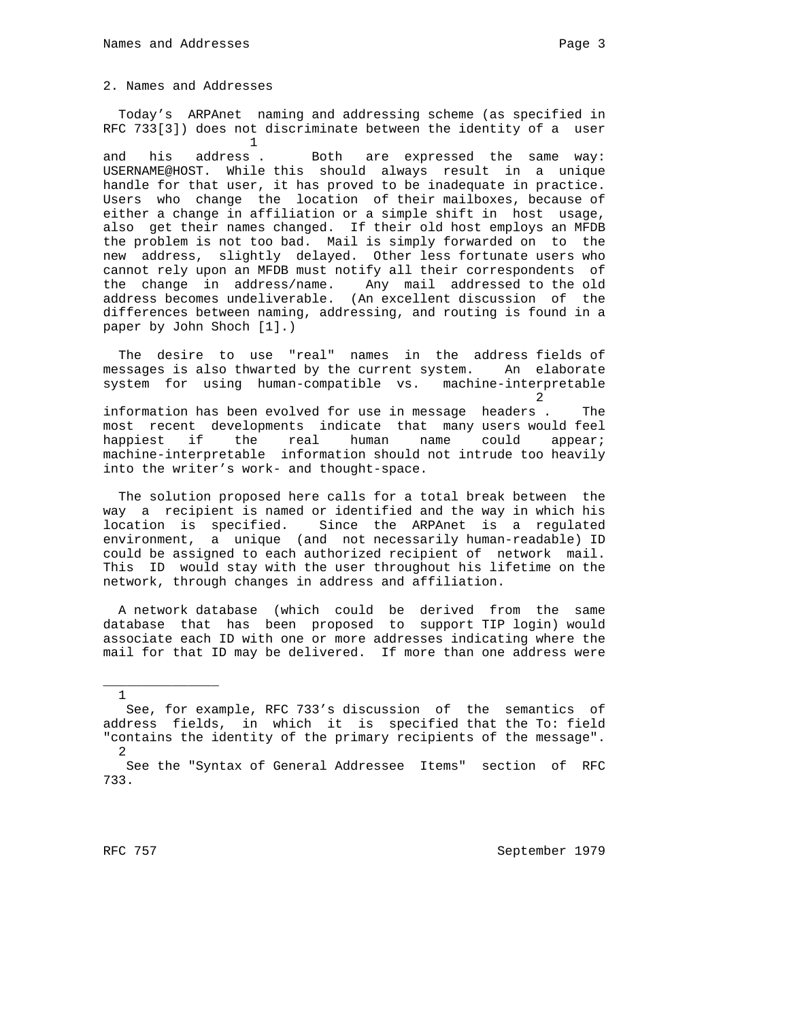#### 2. Names and Addresses

 Today's ARPAnet naming and addressing scheme (as specified in RFC 733[3]) does not discriminate between the identity of a user  $1$ 

and his address. Both are expressed the same way: USERNAME@HOST. While this should always result in a unique handle for that user, it has proved to be inadequate in practice. Users who change the location of their mailboxes, because of either a change in affiliation or a simple shift in host usage, also get their names changed. If their old host employs an MFDB the problem is not too bad. Mail is simply forwarded on to the new address, slightly delayed. Other less fortunate users who cannot rely upon an MFDB must notify all their correspondents of the change in address/name. Any mail addressed to the old address becomes undeliverable. (An excellent discussion of the differences between naming, addressing, and routing is found in a paper by John Shoch [1].)

 The desire to use "real" names in the address fields of messages is also thwarted by the current system. An elaborate system for using human-compatible vs. machine-interpretable

 2 information has been evolved for use in message headers . The most recent developments indicate that many users would feel happiest if the real human name could appear; machine-interpretable information should not intrude too heavily into the writer's work- and thought-space.

 The solution proposed here calls for a total break between the way a recipient is named or identified and the way in which his location is specified. Since the ARPAnet is a regulated environment, a unique (and not necessarily human-readable) ID could be assigned to each authorized recipient of network mail. This ID would stay with the user throughout his lifetime on the network, through changes in address and affiliation.

 A network database (which could be derived from the same database that has been proposed to support TIP login) would associate each ID with one or more addresses indicating where the mail for that ID may be delivered. If more than one address were

1

\_\_\_\_\_\_\_\_\_\_\_\_\_\_\_

See, for example, RFC 733's discussion of the semantics of address fields, in which it is specified that the To: field "contains the identity of the primary recipients of the message". 2

See the "Syntax of General Addressee Items" section of RFC 733.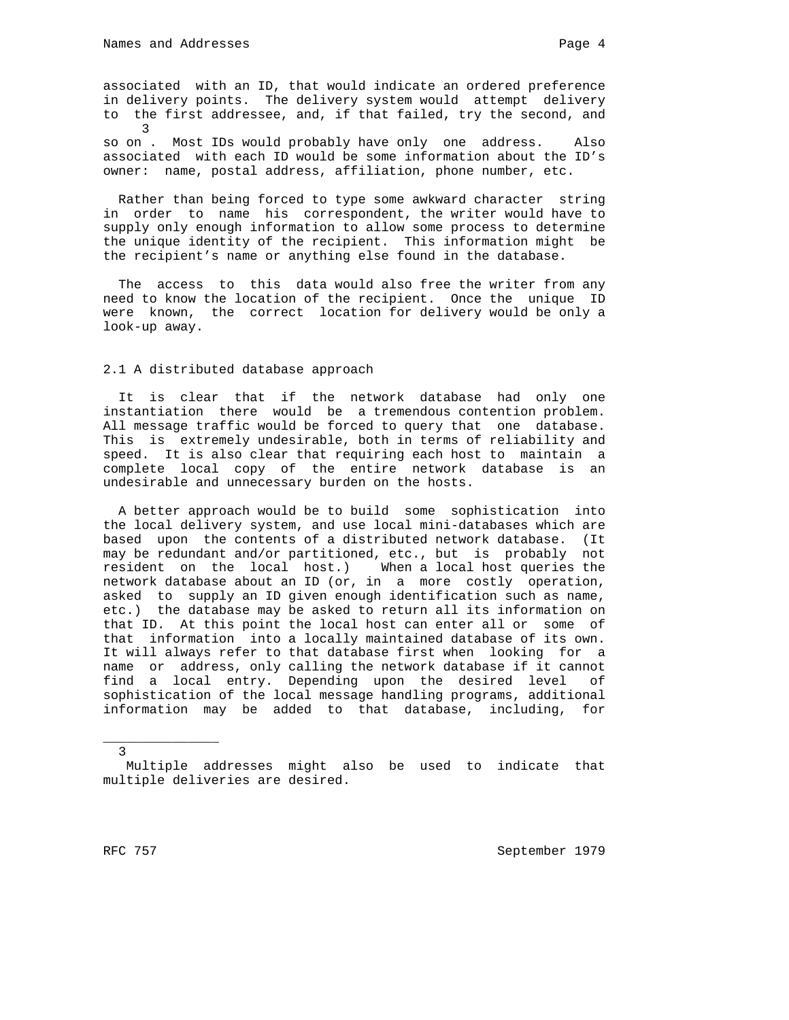so on . Most IDs would probably have only one address. Also associated with each ID would be some information about the ID's owner: name, postal address, affiliation, phone number, etc.

 Rather than being forced to type some awkward character string in order to name his correspondent, the writer would have to supply only enough information to allow some process to determine the unique identity of the recipient. This information might be the recipient's name or anything else found in the database.

 The access to this data would also free the writer from any need to know the location of the recipient. Once the unique ID were known, the correct location for delivery would be only a look-up away.

#### 2.1 A distributed database approach

 It is clear that if the network database had only one instantiation there would be a tremendous contention problem. All message traffic would be forced to query that one database. This is extremely undesirable, both in terms of reliability and speed. It is also clear that requiring each host to maintain a complete local copy of the entire network database is an undesirable and unnecessary burden on the hosts.

 A better approach would be to build some sophistication into the local delivery system, and use local mini-databases which are based upon the contents of a distributed network database. (It may be redundant and/or partitioned, etc., but is probably not resident on the local host.) When a local host queries the network database about an ID (or, in a more costly operation, asked to supply an ID given enough identification such as name, etc.) the database may be asked to return all its information on that ID. At this point the local host can enter all or some of that information into a locally maintained database of its own. It will always refer to that database first when looking for a name or address, only calling the network database if it cannot find a local entry. Depending upon the desired level of sophistication of the local message handling programs, additional information may be added to that database, including, for

3

\_\_\_\_\_\_\_\_\_\_\_\_\_\_\_

Multiple addresses might also be used to indicate that multiple deliveries are desired.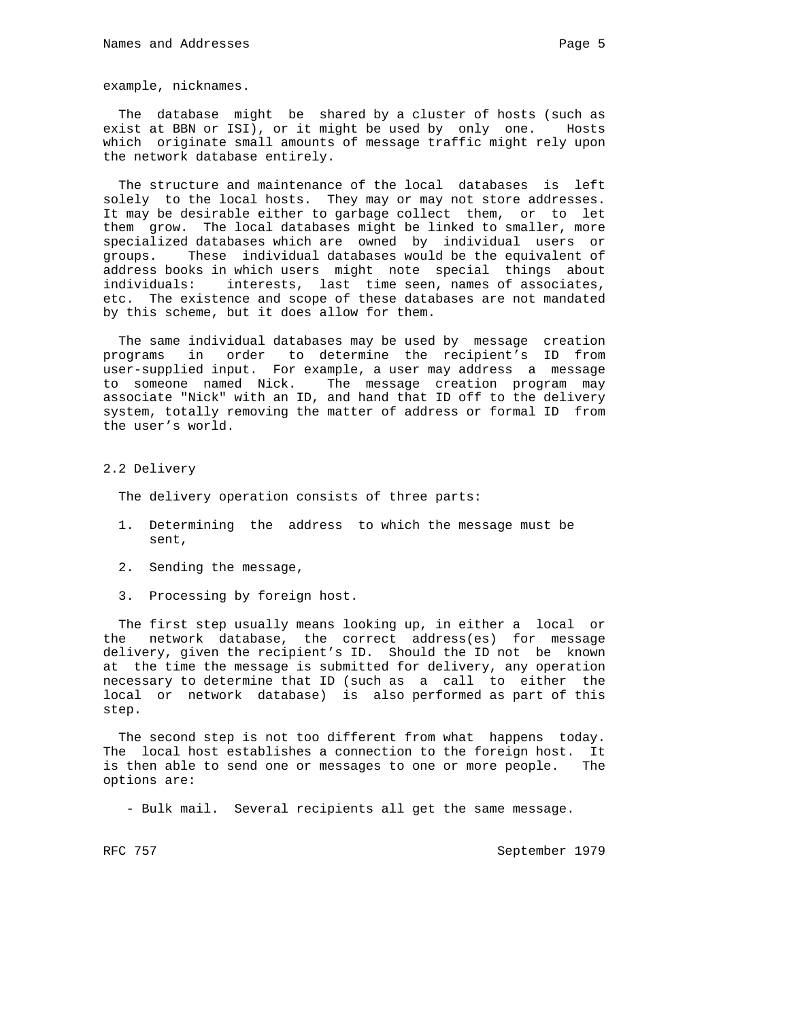example, nicknames.

 The database might be shared by a cluster of hosts (such as exist at BBN or ISI), or it might be used by only one. Hosts which originate small amounts of message traffic might rely upon the network database entirely.

 The structure and maintenance of the local databases is left solely to the local hosts. They may or may not store addresses. It may be desirable either to garbage collect them, or to let them grow. The local databases might be linked to smaller, more specialized databases which are owned by individual users or groups. These individual databases would be the equivalent of address books in which users might note special things about individuals: interests, last time seen, names of associates, etc. The existence and scope of these databases are not mandated by this scheme, but it does allow for them.

 The same individual databases may be used by message creation programs in order to determine the recipient's ID from user-supplied input. For example, a user may address a message to someone named Nick. The message creation program may associate "Nick" with an ID, and hand that ID off to the delivery system, totally removing the matter of address or formal ID from the user's world.

2.2 Delivery

The delivery operation consists of three parts:

- 1. Determining the address to which the message must be sent,
- 2. Sending the message,
- 3. Processing by foreign host.

 The first step usually means looking up, in either a local or the network database, the correct address(es) for message delivery, given the recipient's ID. Should the ID not be known at the time the message is submitted for delivery, any operation necessary to determine that ID (such as a call to either the local or network database) is also performed as part of this step.

 The second step is not too different from what happens today. The local host establishes a connection to the foreign host. It is then able to send one or messages to one or more people. The options are:

- Bulk mail. Several recipients all get the same message.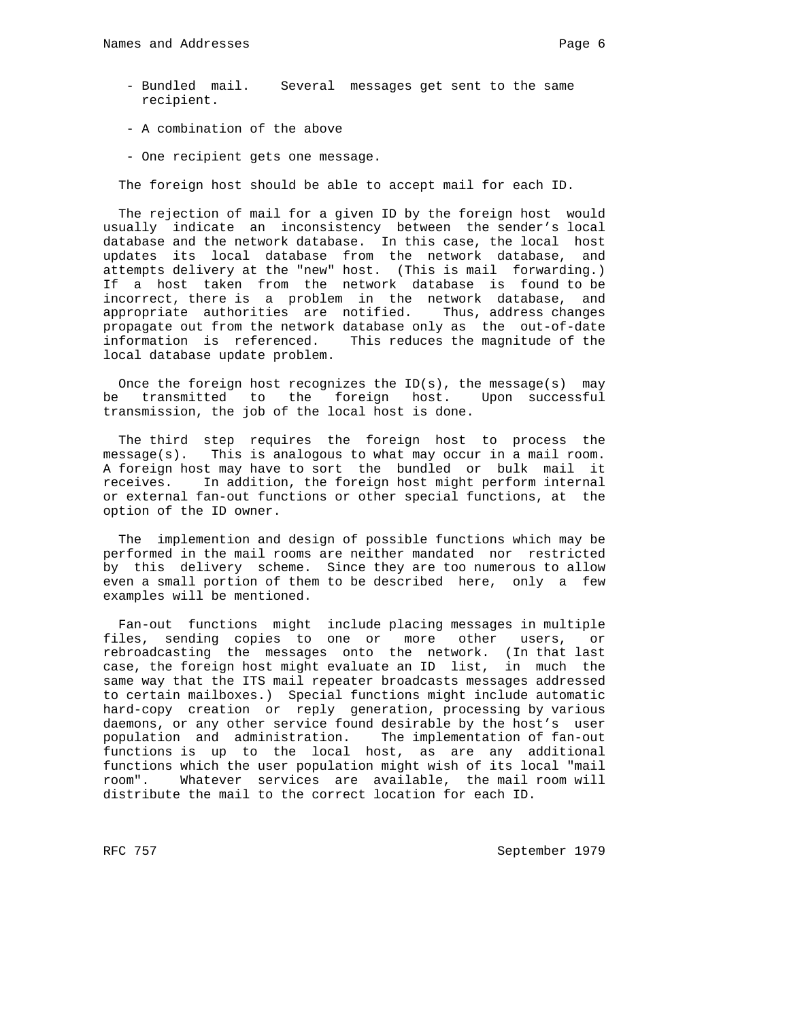- Bundled mail. Several messages get sent to the same recipient.
- A combination of the above
- One recipient gets one message.

The foreign host should be able to accept mail for each ID.

 The rejection of mail for a given ID by the foreign host would usually indicate an inconsistency between the sender's local database and the network database. In this case, the local host updates its local database from the network database, and attempts delivery at the "new" host. (This is mail forwarding.) If a host taken from the network database is found to be incorrect, there is a problem in the network database, and appropriate authorities are notified. Thus, address changes propagate out from the network database only as the out-of-date information is referenced. This reduces the magnitude of the local database update problem.

Once the foreign host recognizes the  $ID(s)$ , the message(s) may be transmitted to the foreign host. Upon successful transmission, the job of the local host is done.

 The third step requires the foreign host to process the message(s). This is analogous to what may occur in a mail room. A foreign host may have to sort the bundled or bulk mail it receives. In addition, the foreign host might perform internal or external fan-out functions or other special functions, at the option of the ID owner.

 The implemention and design of possible functions which may be performed in the mail rooms are neither mandated nor restricted by this delivery scheme. Since they are too numerous to allow even a small portion of them to be described here, only a few examples will be mentioned.

 Fan-out functions might include placing messages in multiple files, sending copies to one or more other users, or rebroadcasting the messages onto the network. (In that last case, the foreign host might evaluate an ID list, in much the same way that the ITS mail repeater broadcasts messages addressed to certain mailboxes.) Special functions might include automatic hard-copy creation or reply generation, processing by various daemons, or any other service found desirable by the host's user population and administration. The implementation of fan-out functions is up to the local host, as are any additional functions which the user population might wish of its local "mail room". Whatever services are available, the mail room will distribute the mail to the correct location for each ID.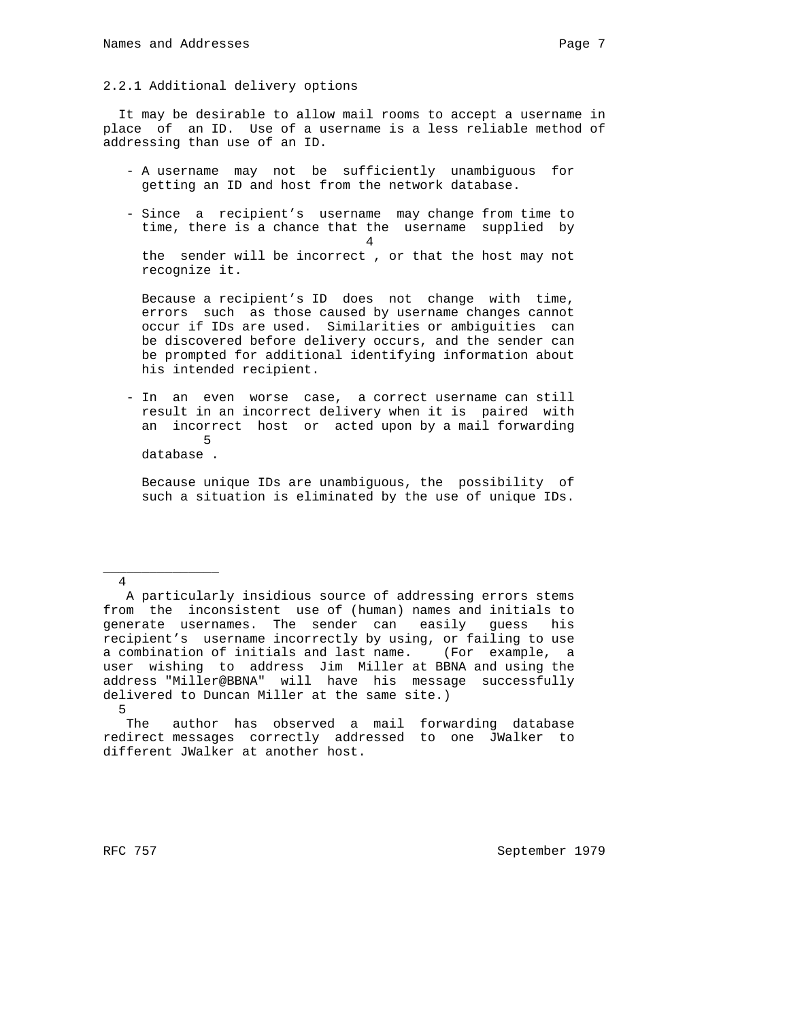It may be desirable to allow mail rooms to accept a username in place of an ID. Use of a username is a less reliable method of addressing than use of an ID.

- A username may not be sufficiently unambiguous for getting an ID and host from the network database.
- Since a recipient's username may change from time to time, there is a chance that the username supplied by 4 the sender will be incorrect , or that the host may not recognize it.

 Because a recipient's ID does not change with time, errors such as those caused by username changes cannot occur if IDs are used. Similarities or ambiguities can be discovered before delivery occurs, and the sender can be prompted for additional identifying information about his intended recipient.

 - In an even worse case, a correct username can still result in an incorrect delivery when it is paired with an incorrect host or acted upon by a mail forwarding 5 database .

 Because unique IDs are unambiguous, the possibility of such a situation is eliminated by the use of unique IDs.

\_\_\_\_\_\_\_\_\_\_\_\_\_\_\_

4

A particularly insidious source of addressing errors stems from the inconsistent use of (human) names and initials to generate usernames. The sender can easily guess his recipient's username incorrectly by using, or failing to use a combination of initials and last name. (For example, a user wishing to address Jim Miller at BBNA and using the address "Miller@BBNA" will have his message successfully delivered to Duncan Miller at the same site.) 5

The author has observed a mail forwarding database redirect messages correctly addressed to one JWalker to different JWalker at another host.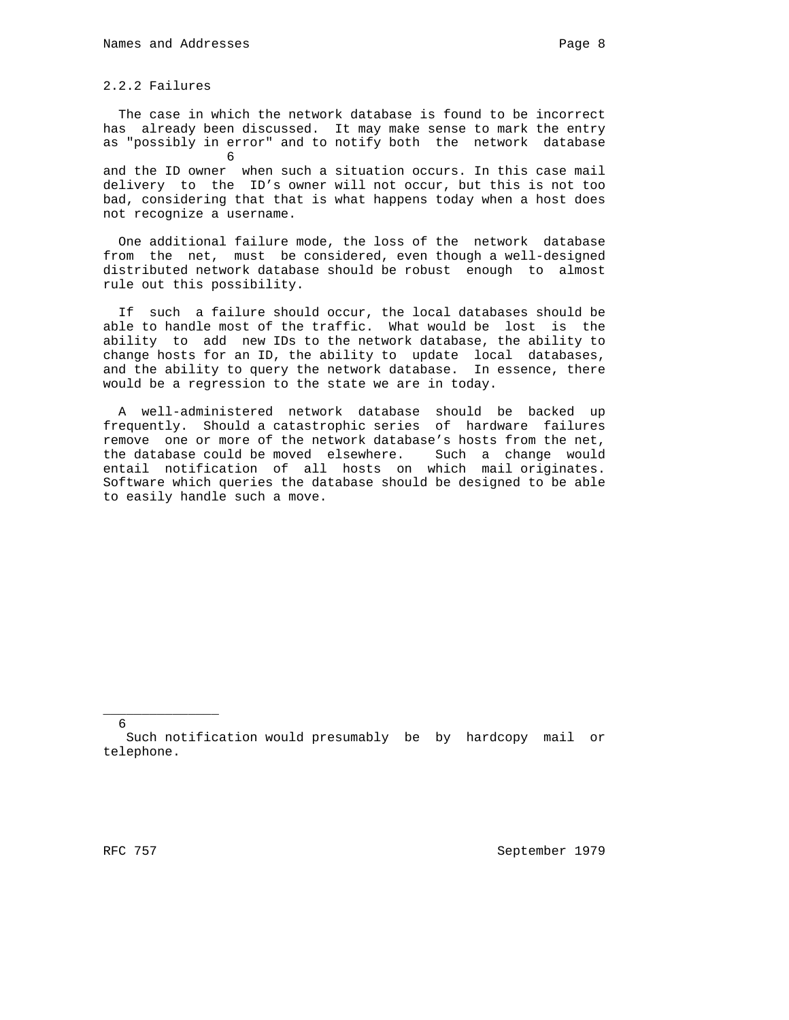2.2.2 Failures

 The case in which the network database is found to be incorrect has already been discussed. It may make sense to mark the entry as "possibly in error" and to notify both the network database  $\sim$  6

and the ID owner when such a situation occurs. In this case mail delivery to the ID's owner will not occur, but this is not too bad, considering that that is what happens today when a host does not recognize a username.

 One additional failure mode, the loss of the network database from the net, must be considered, even though a well-designed distributed network database should be robust enough to almost rule out this possibility.

 If such a failure should occur, the local databases should be able to handle most of the traffic. What would be lost is the ability to add new IDs to the network database, the ability to change hosts for an ID, the ability to update local databases, and the ability to query the network database. In essence, there would be a regression to the state we are in today.

 A well-administered network database should be backed up frequently. Should a catastrophic series of hardware failures remove one or more of the network database's hosts from the net, the database could be moved elsewhere. Such a change would entail notification of all hosts on which mail originates. Software which queries the database should be designed to be able to easily handle such a move.

6

\_\_\_\_\_\_\_\_\_\_\_\_\_\_\_

Such notification would presumably be by hardcopy mail or telephone.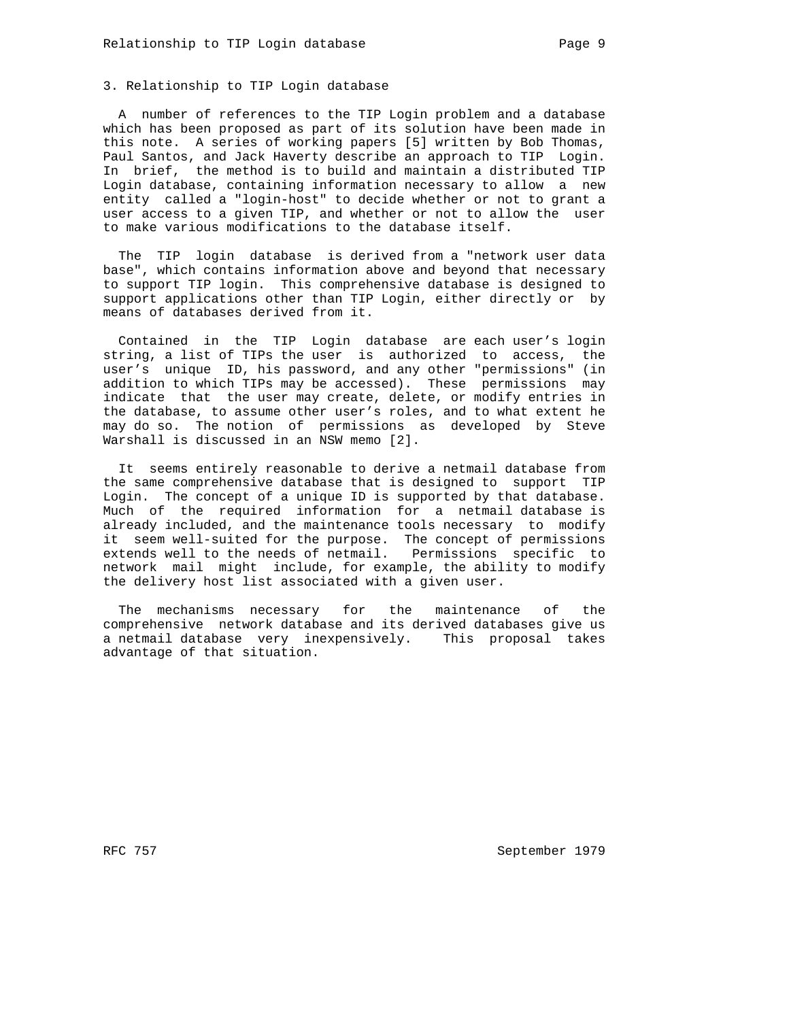## 3. Relationship to TIP Login database

 A number of references to the TIP Login problem and a database which has been proposed as part of its solution have been made in this note. A series of working papers [5] written by Bob Thomas, Paul Santos, and Jack Haverty describe an approach to TIP Login. In brief, the method is to build and maintain a distributed TIP Login database, containing information necessary to allow a new entity called a "login-host" to decide whether or not to grant a user access to a given TIP, and whether or not to allow the user to make various modifications to the database itself.

 The TIP login database is derived from a "network user data base", which contains information above and beyond that necessary to support TIP login. This comprehensive database is designed to support applications other than TIP Login, either directly or by means of databases derived from it.

 Contained in the TIP Login database are each user's login string, a list of TIPs the user is authorized to access, the user's unique ID, his password, and any other "permissions" (in addition to which TIPs may be accessed). These permissions may indicate that the user may create, delete, or modify entries in the database, to assume other user's roles, and to what extent he may do so. The notion of permissions as developed by Steve Warshall is discussed in an NSW memo [2].

 It seems entirely reasonable to derive a netmail database from the same comprehensive database that is designed to support TIP Login. The concept of a unique ID is supported by that database. Much of the required information for a netmail database is already included, and the maintenance tools necessary to modify it seem well-suited for the purpose. The concept of permissions extends well to the needs of netmail. Permissions specific to network mail might include, for example, the ability to modify the delivery host list associated with a given user.

 The mechanisms necessary for the maintenance of the comprehensive network database and its derived databases give us a netmail database very inexpensively. This proposal takes advantage of that situation.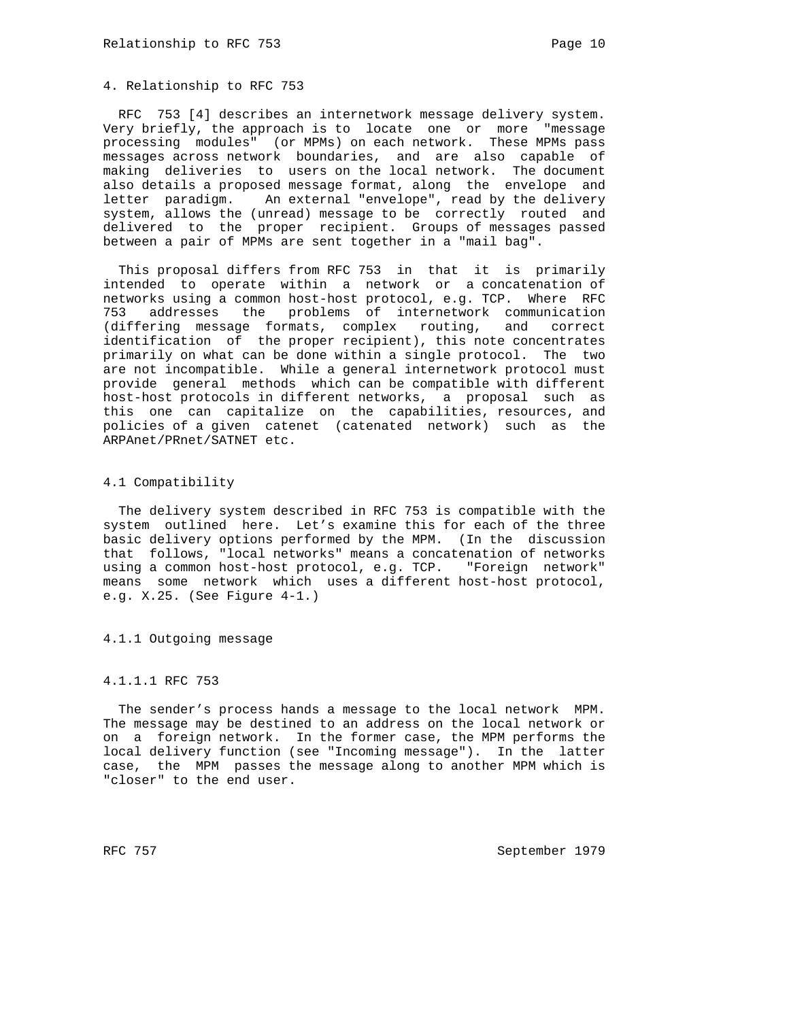# 4. Relationship to RFC 753

 RFC 753 [4] describes an internetwork message delivery system. Very briefly, the approach is to locate one or more "message processing modules" (or MPMs) on each network. These MPMs pass messages across network boundaries, and are also capable of making deliveries to users on the local network. The document also details a proposed message format, along the envelope and letter paradigm. An external "envelope", read by the delivery system, allows the (unread) message to be correctly routed and delivered to the proper recipient. Groups of messages passed between a pair of MPMs are sent together in a "mail bag".

 This proposal differs from RFC 753 in that it is primarily intended to operate within a network or a concatenation of networks using a common host-host protocol, e.g. TCP. Where RFC 753 addresses the problems of internetwork communication (differing message formats, complex routing, and correct identification of the proper recipient), this note concentrates primarily on what can be done within a single protocol. The two are not incompatible. While a general internetwork protocol must provide general methods which can be compatible with different host-host protocols in different networks, a proposal such as this one can capitalize on the capabilities, resources, and policies of a given catenet (catenated network) such as the ARPAnet/PRnet/SATNET etc.

## 4.1 Compatibility

 The delivery system described in RFC 753 is compatible with the system outlined here. Let's examine this for each of the three basic delivery options performed by the MPM. (In the discussion that follows, "local networks" means a concatenation of networks using a common host-host protocol, e.g. TCP. "Foreign network" means some network which uses a different host-host protocol, e.g. X.25. (See Figure 4-1.)

4.1.1 Outgoing message

# 4.1.1.1 RFC 753

 The sender's process hands a message to the local network MPM. The message may be destined to an address on the local network or on a foreign network. In the former case, the MPM performs the local delivery function (see "Incoming message"). In the latter case, the MPM passes the message along to another MPM which is "closer" to the end user.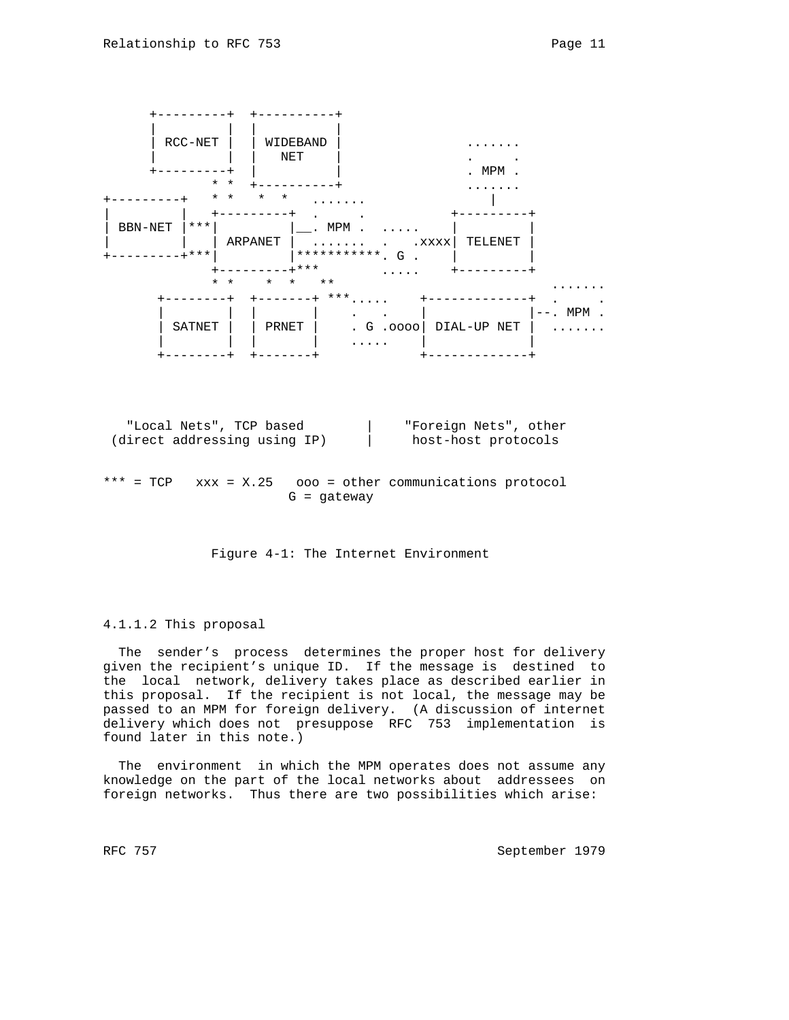

Figure 4-1: The Internet Environment

### 4.1.1.2 This proposal

 The sender's process determines the proper host for delivery given the recipient's unique ID. If the message is destined to the local network, delivery takes place as described earlier in this proposal. If the recipient is not local, the message may be passed to an MPM for foreign delivery. (A discussion of internet delivery which does not presuppose RFC 753 implementation is found later in this note.)

 The environment in which the MPM operates does not assume any knowledge on the part of the local networks about addressees on foreign networks. Thus there are two possibilities which arise: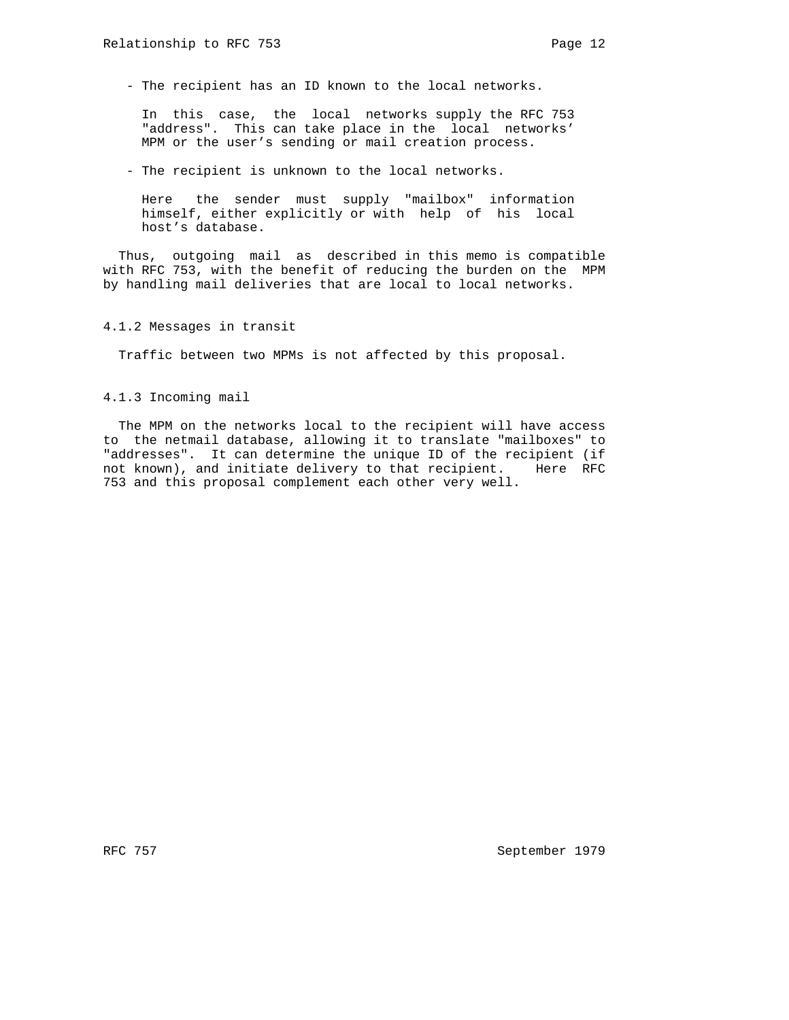- The recipient has an ID known to the local networks.

 In this case, the local networks supply the RFC 753 "address". This can take place in the local networks' MPM or the user's sending or mail creation process.

- The recipient is unknown to the local networks.

 Here the sender must supply "mailbox" information himself, either explicitly or with help of his local host's database.

 Thus, outgoing mail as described in this memo is compatible with RFC 753, with the benefit of reducing the burden on the MPM by handling mail deliveries that are local to local networks.

4.1.2 Messages in transit

Traffic between two MPMs is not affected by this proposal.

4.1.3 Incoming mail

 The MPM on the networks local to the recipient will have access to the netmail database, allowing it to translate "mailboxes" to "addresses". It can determine the unique ID of the recipient (if not known), and initiate delivery to that recipient. Here RFC 753 and this proposal complement each other very well.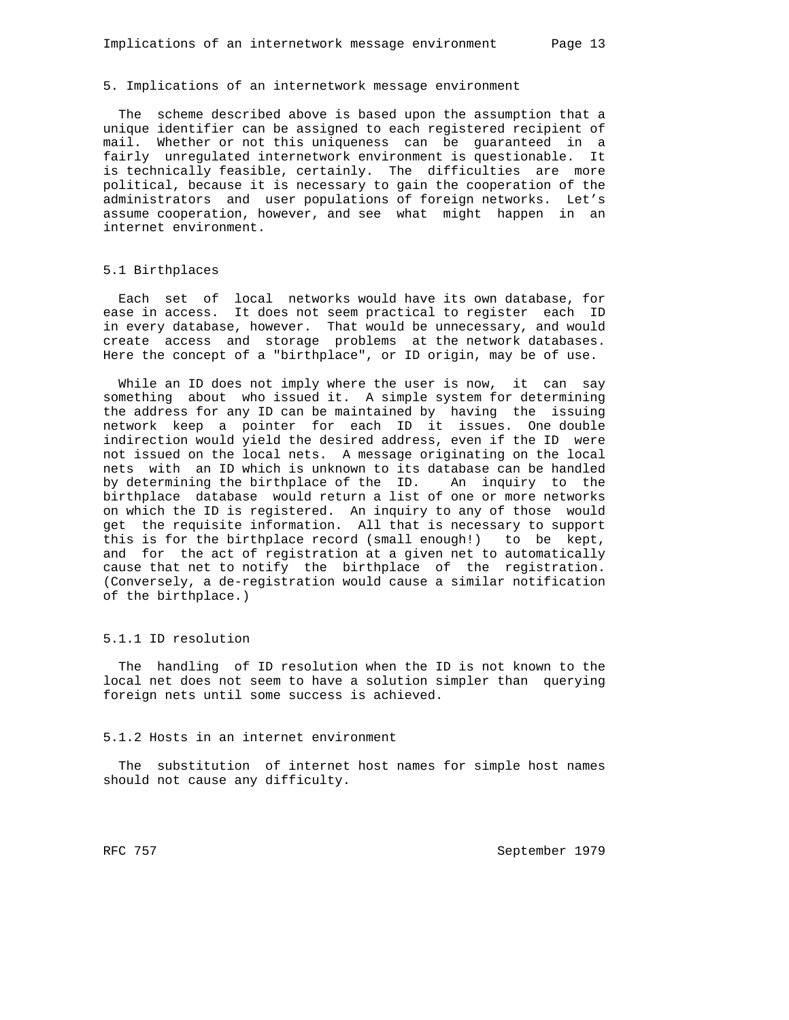#### 5. Implications of an internetwork message environment

 The scheme described above is based upon the assumption that a unique identifier can be assigned to each registered recipient of mail. Whether or not this uniqueness can be guaranteed in a fairly unregulated internetwork environment is questionable. It is technically feasible, certainly. The difficulties are more political, because it is necessary to gain the cooperation of the administrators and user populations of foreign networks. Let's assume cooperation, however, and see what might happen in an internet environment.

## 5.1 Birthplaces

 Each set of local networks would have its own database, for ease in access. It does not seem practical to register each ID in every database, however. That would be unnecessary, and would create access and storage problems at the network databases. Here the concept of a "birthplace", or ID origin, may be of use.

While an ID does not imply where the user is now, it can say something about who issued it. A simple system for determining the address for any ID can be maintained by having the issuing network keep a pointer for each ID it issues. One double indirection would yield the desired address, even if the ID were not issued on the local nets. A message originating on the local nets with an ID which is unknown to its database can be handled by determining the birthplace of the ID. An inquiry to the birthplace database would return a list of one or more networks on which the ID is registered. An inquiry to any of those would get the requisite information. All that is necessary to support this is for the birthplace record (small enough!) to be kept, and for the act of registration at a given net to automatically cause that net to notify the birthplace of the registration. (Conversely, a de-registration would cause a similar notification of the birthplace.)

## 5.1.1 ID resolution

 The handling of ID resolution when the ID is not known to the local net does not seem to have a solution simpler than querying foreign nets until some success is achieved.

## 5.1.2 Hosts in an internet environment

 The substitution of internet host names for simple host names should not cause any difficulty.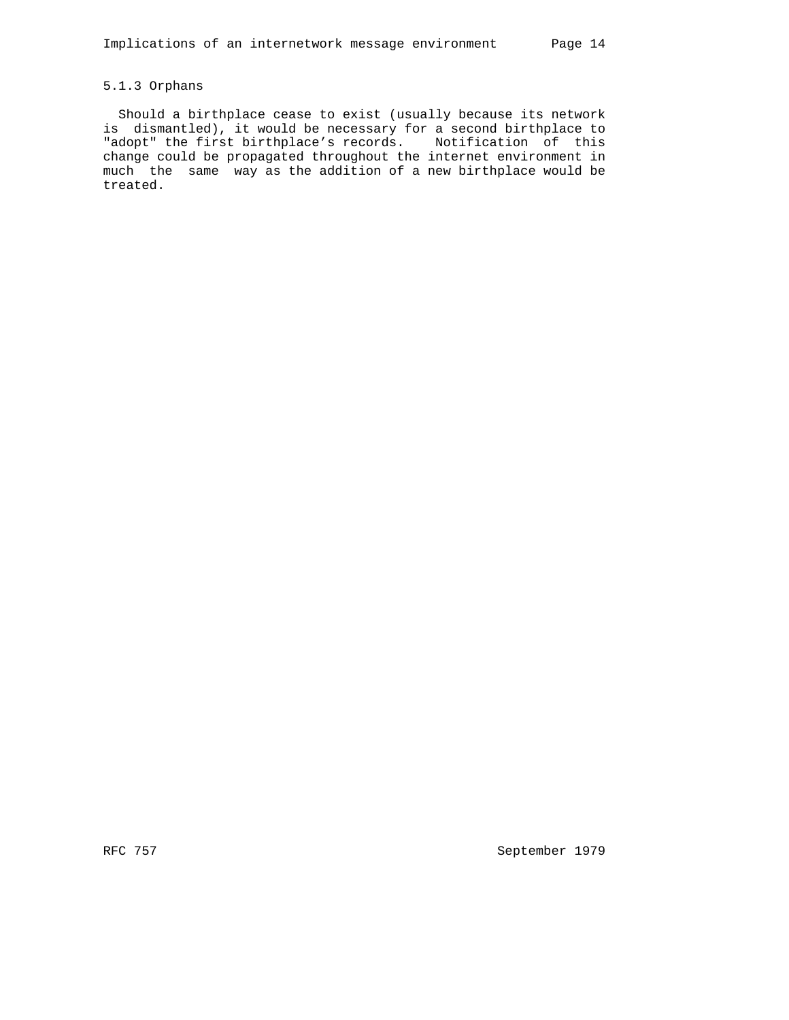# 5.1.3 Orphans

 Should a birthplace cease to exist (usually because its network is dismantled), it would be necessary for a second birthplace to "adopt" the first birthplace's records. Notification of this change could be propagated throughout the internet environment in much the same way as the addition of a new birthplace would be treated.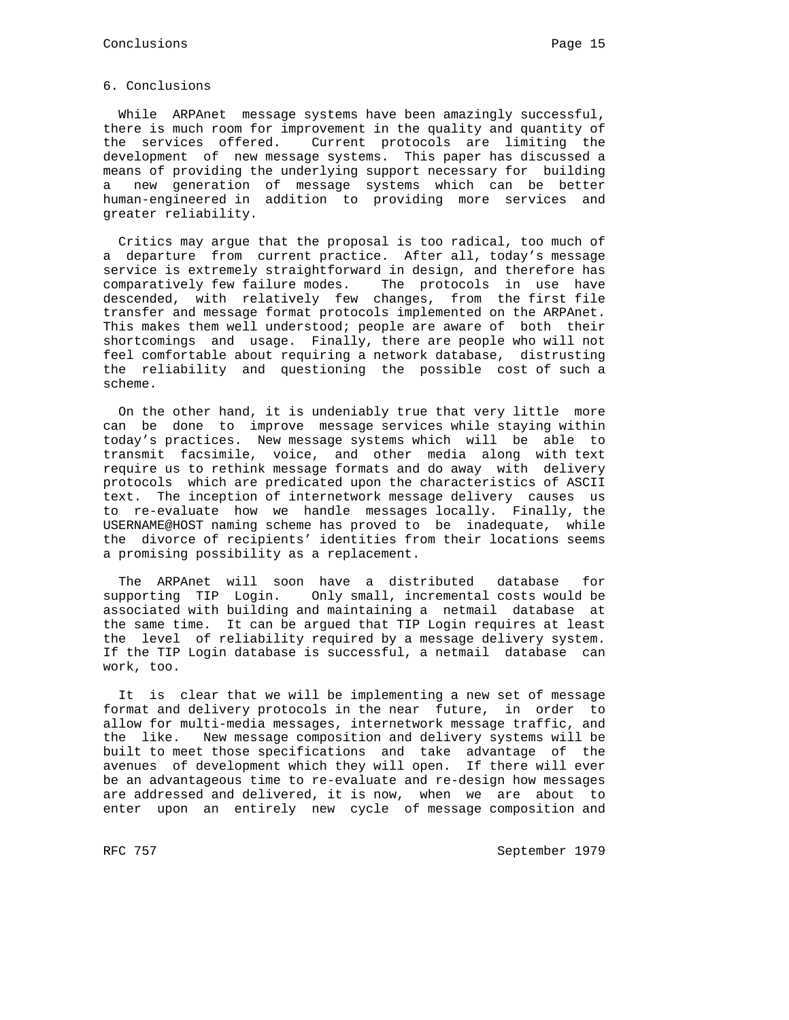### 6. Conclusions

 While ARPAnet message systems have been amazingly successful, there is much room for improvement in the quality and quantity of the services offered. Current protocols are limiting the development of new message systems. This paper has discussed a means of providing the underlying support necessary for building a new generation of message systems which can be better human-engineered in addition to providing more services and greater reliability.

 Critics may argue that the proposal is too radical, too much of a departure from current practice. After all, today's message service is extremely straightforward in design, and therefore has comparatively few failure modes. The protocols in use have descended, with relatively few changes, from the first file transfer and message format protocols implemented on the ARPAnet. This makes them well understood; people are aware of both their shortcomings and usage. Finally, there are people who will not feel comfortable about requiring a network database, distrusting the reliability and questioning the possible cost of such a scheme.

 On the other hand, it is undeniably true that very little more can be done to improve message services while staying within today's practices. New message systems which will be able to transmit facsimile, voice, and other media along with text require us to rethink message formats and do away with delivery protocols which are predicated upon the characteristics of ASCII text. The inception of internetwork message delivery causes us to re-evaluate how we handle messages locally. Finally, the USERNAME@HOST naming scheme has proved to be inadequate, while the divorce of recipients' identities from their locations seems a promising possibility as a replacement.

 The ARPAnet will soon have a distributed database for supporting TIP Login. Only small, incremental costs would be associated with building and maintaining a netmail database at the same time. It can be argued that TIP Login requires at least the level of reliability required by a message delivery system. If the TIP Login database is successful, a netmail database can work, too.

 It is clear that we will be implementing a new set of message format and delivery protocols in the near future, in order to allow for multi-media messages, internetwork message traffic, and the like. New message composition and delivery systems will be built to meet those specifications and take advantage of the avenues of development which they will open. If there will ever be an advantageous time to re-evaluate and re-design how messages are addressed and delivered, it is now, when we are about to enter upon an entirely new cycle of message composition and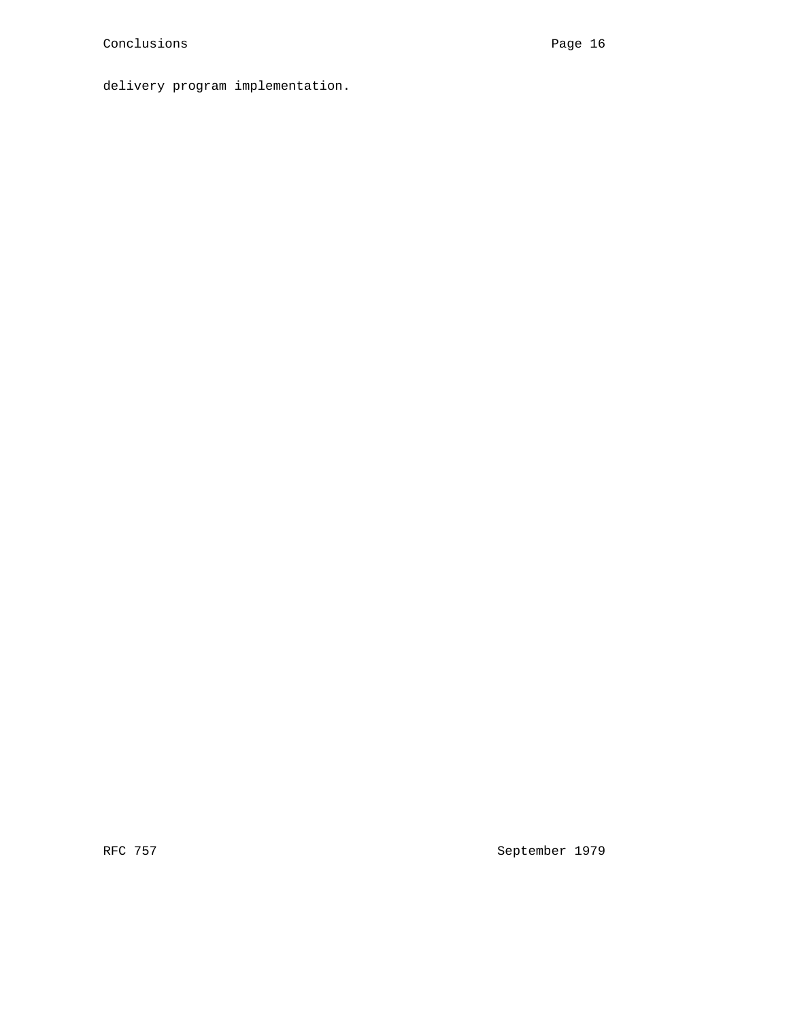delivery program implementation.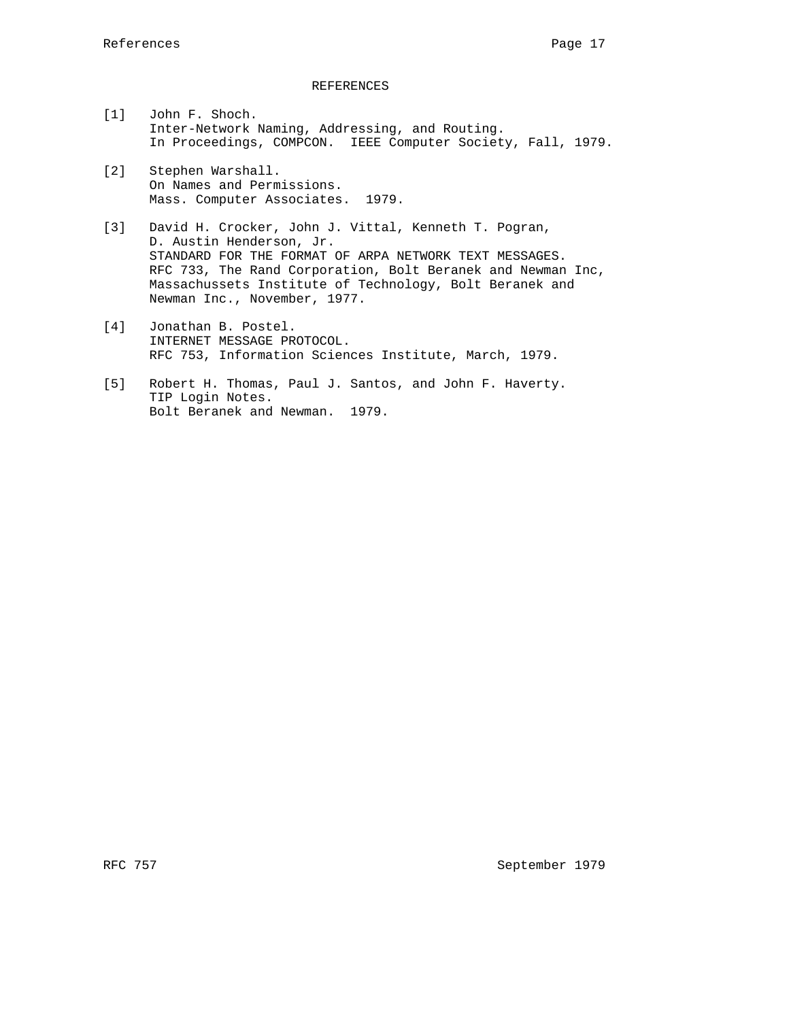### REFERENCES

- [1] John F. Shoch. Inter-Network Naming, Addressing, and Routing. In Proceedings, COMPCON. IEEE Computer Society, Fall, 1979.
- [2] Stephen Warshall. On Names and Permissions. Mass. Computer Associates. 1979.
- [3] David H. Crocker, John J. Vittal, Kenneth T. Pogran, D. Austin Henderson, Jr. STANDARD FOR THE FORMAT OF ARPA NETWORK TEXT MESSAGES. RFC 733, The Rand Corporation, Bolt Beranek and Newman Inc, Massachussets Institute of Technology, Bolt Beranek and Newman Inc., November, 1977.
- [4] Jonathan B. Postel. INTERNET MESSAGE PROTOCOL. RFC 753, Information Sciences Institute, March, 1979.
- [5] Robert H. Thomas, Paul J. Santos, and John F. Haverty. TIP Login Notes. Bolt Beranek and Newman. 1979.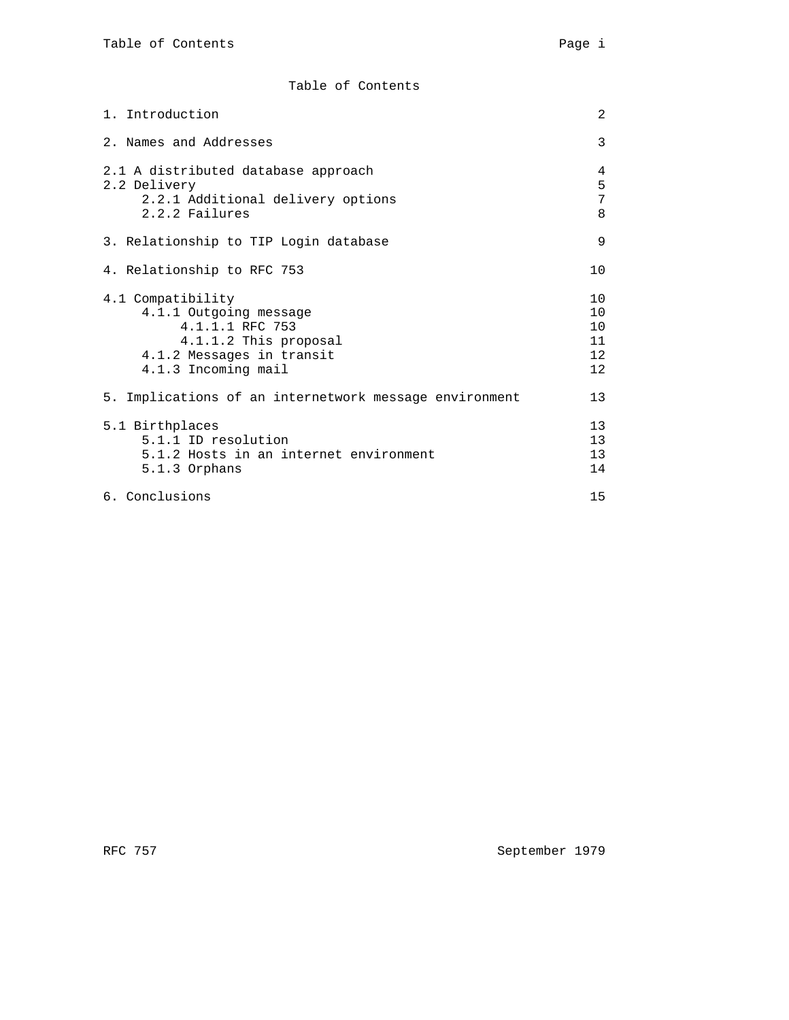Table of Contents

| 1. Introduction                                                                                                                             | 2                                             |
|---------------------------------------------------------------------------------------------------------------------------------------------|-----------------------------------------------|
| 2. Names and Addresses                                                                                                                      | 3                                             |
| 2.1 A distributed database approach<br>2.2 Delivery<br>2.2.1 Additional delivery options<br>2.2.2 Failures                                  | 4<br>5<br>7<br>8                              |
| 3. Relationship to TIP Login database                                                                                                       | 9                                             |
| 4. Relationship to RFC 753                                                                                                                  | $10 \,$                                       |
| 4.1 Compatibility<br>4.1.1 Outgoing message<br>4.1.1.1 RFC 753<br>4.1.1.2 This proposal<br>4.1.2 Messages in transit<br>4.1.3 Incoming mail | 10<br>10<br>10<br>11<br>12 <sup>°</sup><br>12 |
| 5. Implications of an internetwork message environment                                                                                      | 13                                            |
| 5.1 Birthplaces<br>5.1.1 ID resolution<br>5.1.2 Hosts in an internet environment<br>$5.1.3$ Orphans                                         | 13<br>13<br>13<br>14                          |
| 6. Conclusions                                                                                                                              | 15                                            |